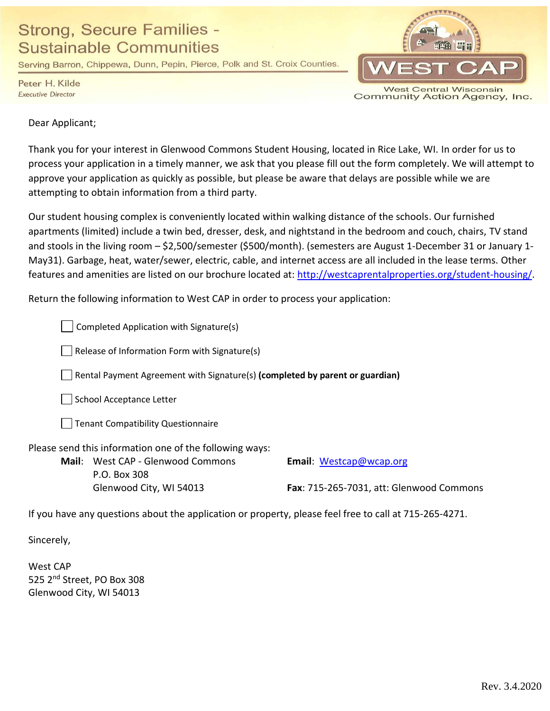## **Strong, Secure Families -Sustainable Communities**

Serving Barron, Chippewa, Dunn, Pepin, Pierce, Polk and St. Croix Counties.



Peter H. Kilde **Executive Director** 

#### Dear Applicant;

Thank you for your interest in Glenwood Commons Student Housing, located in Rice Lake, WI. In order for us to process your application in a timely manner, we ask that you please fill out the form completely. We will attempt to approve your application as quickly as possible, but please be aware that delays are possible while we are attempting to obtain information from a third party.

Our student housing complex is conveniently located within walking distance of the schools. Our furnished apartments (limited) include a twin bed, dresser, desk, and nightstand in the bedroom and couch, chairs, TV stand and stools in the living room – \$2,500/semester (\$500/month). (semesters are August 1-December 31 or January 1-May31). Garbage, heat, water/sewer, electric, cable, and internet access are all included in the lease terms. Other features and amenities are listed on our brochure located at: [http://westcaprentalproperties.org/student-housing/.](http://westcaprentalproperties.org/student-housing/)

Return the following information to West CAP in order to process your application:

Completed Application with Signature(s)

Release of Information Form with Signature(s)

Rental Payment Agreement with Signature(s) **(completed by parent or guardian)**

School Acceptance Letter

Tenant Compatibility Questionnaire

Please send this information one of the following ways:

**Mail**: West CAP - Glenwood Commons **Email**: [Westcap@wcap.org](mailto:Westcap@wcap.org) P.O. Box 308

Glenwood City, WI 54013 **Fax**: 715-265-7031, att: Glenwood Commons

If you have any questions about the application or property, please feel free to call at 715-265-4271.

Sincerely,

West CAP 525 2nd Street, PO Box 308 Glenwood City, WI 54013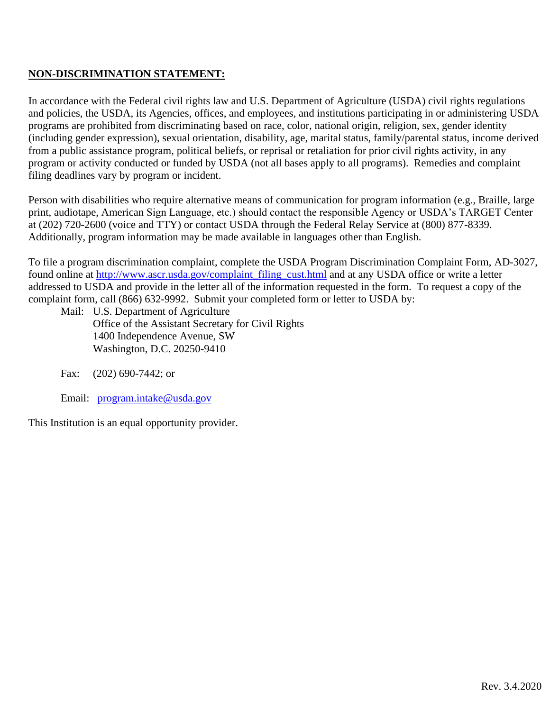#### **NON-DISCRIMINATION STATEMENT:**

In accordance with the Federal civil rights law and U.S. Department of Agriculture (USDA) civil rights regulations and policies, the USDA, its Agencies, offices, and employees, and institutions participating in or administering USDA programs are prohibited from discriminating based on race, color, national origin, religion, sex, gender identity (including gender expression), sexual orientation, disability, age, marital status, family/parental status, income derived from a public assistance program, political beliefs, or reprisal or retaliation for prior civil rights activity, in any program or activity conducted or funded by USDA (not all bases apply to all programs). Remedies and complaint filing deadlines vary by program or incident.

Person with disabilities who require alternative means of communication for program information (e.g., Braille, large print, audiotape, American Sign Language, etc.) should contact the responsible Agency or USDA's TARGET Center at (202) 720-2600 (voice and TTY) or contact USDA through the Federal Relay Service at (800) 877-8339. Additionally, program information may be made available in languages other than English.

To file a program discrimination complaint, complete the USDA Program Discrimination Complaint Form, AD-3027, found online at [http://www.ascr.usda.gov/complaint\\_filing\\_cust.html](http://www.ascr.usda.gov/complaint_filing_cust.html) and at any USDA office or write a letter addressed to USDA and provide in the letter all of the information requested in the form. To request a copy of the complaint form, call (866) 632-9992. Submit your completed form or letter to USDA by:

- Mail: U.S. Department of Agriculture Office of the Assistant Secretary for Civil Rights 1400 Independence Avenue, SW Washington, D.C. 20250-9410
- Fax: (202) 690-7442; or
- Email: [program.intake@usda.gov](mailto:program.intake@usda.gov)

This Institution is an equal opportunity provider.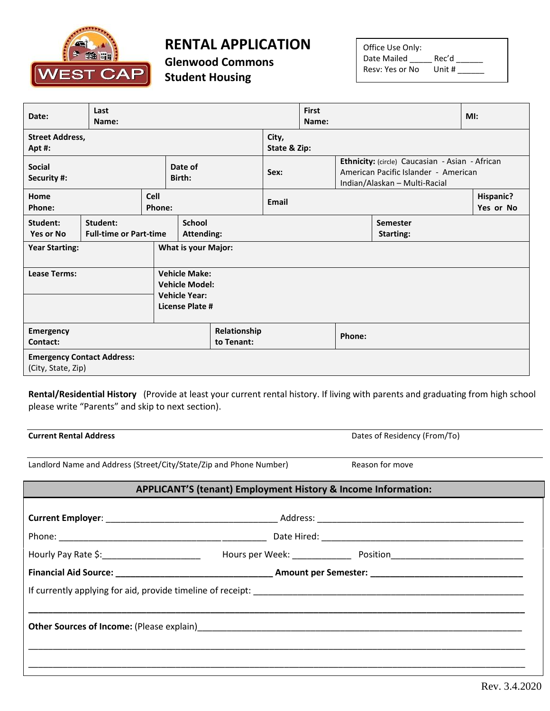

## **RENTAL APPLICATION**

### **Glenwood Commons Student Housing**

| Office Use Only: |        |
|------------------|--------|
| Date Mailed      | Rec'd  |
| Resy: Yes or No  | Unit # |

| Date:                                     | Last<br>Name:                             |                   |                                                                                          |              | <b>First</b><br>Name:                                                                                                            |        |                                     | Ml: |                        |
|-------------------------------------------|-------------------------------------------|-------------------|------------------------------------------------------------------------------------------|--------------|----------------------------------------------------------------------------------------------------------------------------------|--------|-------------------------------------|-----|------------------------|
| City,<br><b>Street Address,</b><br>Apt #: |                                           |                   |                                                                                          | State & Zip: |                                                                                                                                  |        |                                     |     |                        |
| <b>Social</b><br>Security #:              |                                           | Date of<br>Birth: |                                                                                          |              | Ethnicity: (circle) Caucasian - Asian - African<br>American Pacific Islander - American<br>Sex:<br>Indian/Alaskan - Multi-Racial |        |                                     |     |                        |
| Home<br>Phone:                            |                                           | Cell<br>Phone:    |                                                                                          |              | <b>Email</b>                                                                                                                     |        |                                     |     | Hispanic?<br>Yes or No |
| Student:<br><b>Yes or No</b>              | Student:<br><b>Full-time or Part-time</b> |                   | <b>School</b><br><b>Attending:</b>                                                       |              |                                                                                                                                  |        | <b>Semester</b><br><b>Starting:</b> |     |                        |
| <b>Year Starting:</b>                     |                                           |                   | <b>What is your Major:</b>                                                               |              |                                                                                                                                  |        |                                     |     |                        |
| <b>Lease Terms:</b>                       |                                           |                   | <b>Vehicle Make:</b><br><b>Vehicle Model:</b><br><b>Vehicle Year:</b><br>License Plate # |              |                                                                                                                                  |        |                                     |     |                        |
| <b>Emergency</b><br>Contact:              |                                           |                   | Relationship<br>to Tenant:                                                               |              |                                                                                                                                  | Phone: |                                     |     |                        |
| (City, State, Zip)                        | <b>Emergency Contact Address:</b>         |                   |                                                                                          |              |                                                                                                                                  |        |                                     |     |                        |

**Rental/Residential History** (Provide at least your current rental history. If living with parents and graduating from high school please write "Parents" and skip to next section).

**Current Rental Address** Dates of Residency (From/To)

Landlord Name and Address (Street/City/State/Zip and Phone Number) Reason for move

#### **APPLICANT'S (tenant) Employment History & Income Information:**

| If currently applying for aid, provide timeline of receipt: entries and all the set of control of the set of the set of the set of the set of the set of the set of the set of the set of the set of the set of the set of the   |  |
|----------------------------------------------------------------------------------------------------------------------------------------------------------------------------------------------------------------------------------|--|
|                                                                                                                                                                                                                                  |  |
| Other Sources of Income: (Please explain)<br>The manufacturer of the contract of the contract of the contract of the contract of the contract of the contract of the contract of the contract of the contract of the contract of |  |
|                                                                                                                                                                                                                                  |  |
|                                                                                                                                                                                                                                  |  |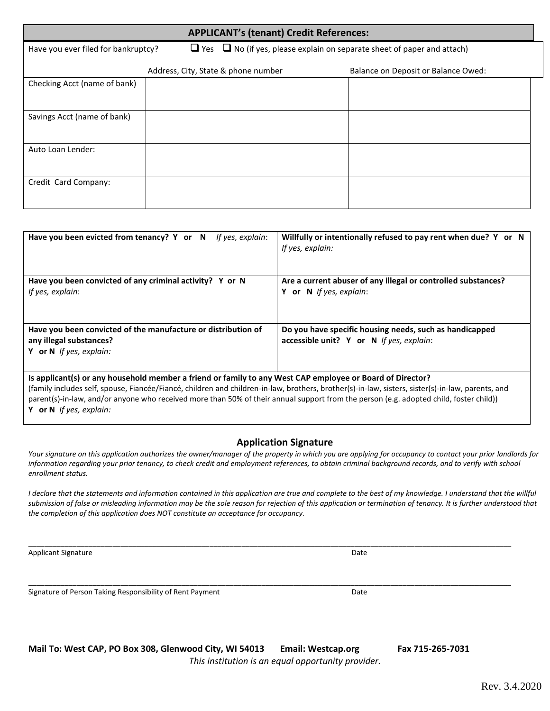| <b>APPLICANT's (tenant) Credit References:</b>                                                                             |                                                                            |  |  |  |  |  |
|----------------------------------------------------------------------------------------------------------------------------|----------------------------------------------------------------------------|--|--|--|--|--|
| $\Box$ Yes $\Box$ No (if yes, please explain on separate sheet of paper and attach)<br>Have you ever filed for bankruptcy? |                                                                            |  |  |  |  |  |
|                                                                                                                            | Address, City, State & phone number<br>Balance on Deposit or Balance Owed: |  |  |  |  |  |
| Checking Acct (name of bank)                                                                                               |                                                                            |  |  |  |  |  |
|                                                                                                                            |                                                                            |  |  |  |  |  |
| Savings Acct (name of bank)                                                                                                |                                                                            |  |  |  |  |  |
|                                                                                                                            |                                                                            |  |  |  |  |  |
| Auto Loan Lender:                                                                                                          |                                                                            |  |  |  |  |  |
|                                                                                                                            |                                                                            |  |  |  |  |  |
| Credit Card Company:                                                                                                       |                                                                            |  |  |  |  |  |
|                                                                                                                            |                                                                            |  |  |  |  |  |

| Have you been evicted from tenancy? Y or N                                                                          | Willfully or intentionally refused to pay rent when due? Y or N                                     |
|---------------------------------------------------------------------------------------------------------------------|-----------------------------------------------------------------------------------------------------|
| If yes, explain:                                                                                                    | If yes, explain:                                                                                    |
| Have you been convicted of any criminal activity? Y or N                                                            | Are a current abuser of any illegal or controlled substances?                                       |
| If yes, explain:                                                                                                    | Y or N If yes, explain:                                                                             |
| Have you been convicted of the manufacture or distribution of<br>any illegal substances?<br>Y or N If yes, explain: | Do you have specific housing needs, such as handicapped<br>accessible unit? Y or N If yes, explain: |
| Is applicant(s) or any household member a friend or family to any West CAP employee or Board of Director?           |                                                                                                     |

(family includes self, spouse, Fiancée/Fiancé, children and children-in-law, brothers, brother(s)-in-law, sisters, sister(s)-in-law, parents, and parent(s)-in-law, and/or anyone who received more than 50% of their annual support from the person (e.g. adopted child, foster child)) **Y or N** *If yes, explain:*

#### **Application Signature**

*Your signature on this application authorizes the owner/manager of the property in which you are applying for occupancy to contact your prior landlords for information regarding your prior tenancy, to check credit and employment references, to obtain criminal background records, and to verify with school enrollment status.*

*I declare that the statements and information contained in this application are true and complete to the best of my knowledge. I understand that the willful submission of false or misleading information may be the sole reason for rejection of this application or termination of tenancy. It is further understood that the completion of this application does NOT constitute an acceptance for occupancy.*

\_\_\_\_\_\_\_\_\_\_\_\_\_\_\_\_\_\_\_\_\_\_\_\_\_\_\_\_\_\_\_\_\_\_\_\_\_\_\_\_\_\_\_\_\_\_\_\_\_\_\_\_\_\_\_\_\_\_\_\_\_\_\_\_\_\_\_\_\_\_\_\_\_\_\_\_\_\_\_\_\_\_\_\_\_\_\_\_\_\_\_\_\_\_\_\_\_\_\_\_\_\_\_\_\_\_\_\_\_\_\_\_\_\_\_\_\_\_\_\_

\_\_\_\_\_\_\_\_\_\_\_\_\_\_\_\_\_\_\_\_\_\_\_\_\_\_\_\_\_\_\_\_\_\_\_\_\_\_\_\_\_\_\_\_\_\_\_\_\_\_\_\_\_\_\_\_\_\_\_\_\_\_\_\_\_\_\_\_\_\_\_\_\_\_\_\_\_\_\_\_\_\_\_\_\_\_\_\_\_\_\_\_\_\_\_\_\_\_\_\_\_\_\_\_\_\_\_\_\_\_\_\_\_\_\_\_\_\_\_\_

Applicant Signature Date Applicant Signature Date Applicant Signature Date

Signature of Person Taking Responsibility of Rent Payment Date

**Mail To: West CAP, PO Box 308, Glenwood City, WI 54013 Email: Westcap.org Fax 715-265-7031** *This institution is an equal opportunity provider.*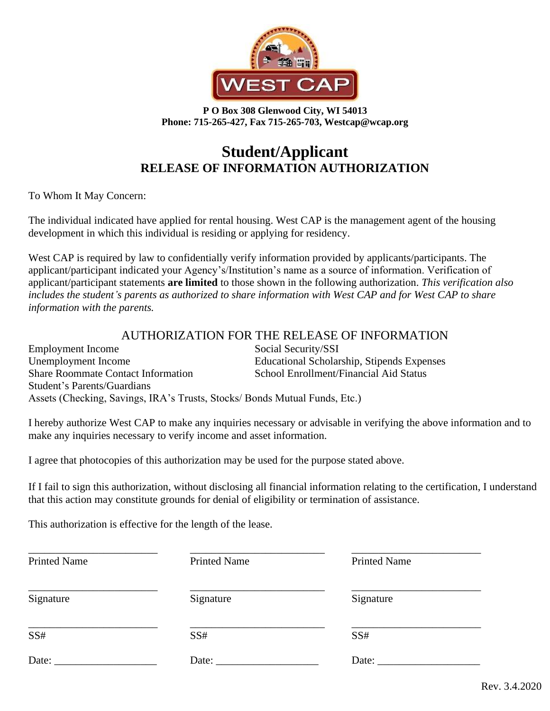

**P O Box 308 Glenwood City, WI 54013 Phone: 715-265-427, Fax 715-265-703, Westcap@wcap.org**

### **Student/Applicant RELEASE OF INFORMATION AUTHORIZATION**

To Whom It May Concern:

The individual indicated have applied for rental housing. West CAP is the management agent of the housing development in which this individual is residing or applying for residency.

West CAP is required by law to confidentially verify information provided by applicants/participants. The applicant/participant indicated your Agency's/Institution's name as a source of information. Verification of applicant/participant statements **are limited** to those shown in the following authorization. *This verification also includes the student's parents as authorized to share information with West CAP and for West CAP to share information with the parents.* 

#### AUTHORIZATION FOR THE RELEASE OF INFORMATION

Employment Income Social Security/SSI Unemployment Income Educational Scholarship, Stipends Expenses Share Roommate Contact Information School Enrollment/Financial Aid Status Student's Parents/Guardians Assets (Checking, Savings, IRA's Trusts, Stocks/ Bonds Mutual Funds, Etc.)

I hereby authorize West CAP to make any inquiries necessary or advisable in verifying the above information and to make any inquiries necessary to verify income and asset information.

I agree that photocopies of this authorization may be used for the purpose stated above.

If I fail to sign this authorization, without disclosing all financial information relating to the certification, I understand that this action may constitute grounds for denial of eligibility or termination of assistance.

This authorization is effective for the length of the lease.

| <b>Printed Name</b> | <b>Printed Name</b> | <b>Printed Name</b> |
|---------------------|---------------------|---------------------|
| Signature           | Signature           | Signature           |
| SS#                 | SS#                 | SS#                 |
| Date:               | Date:               | Date:               |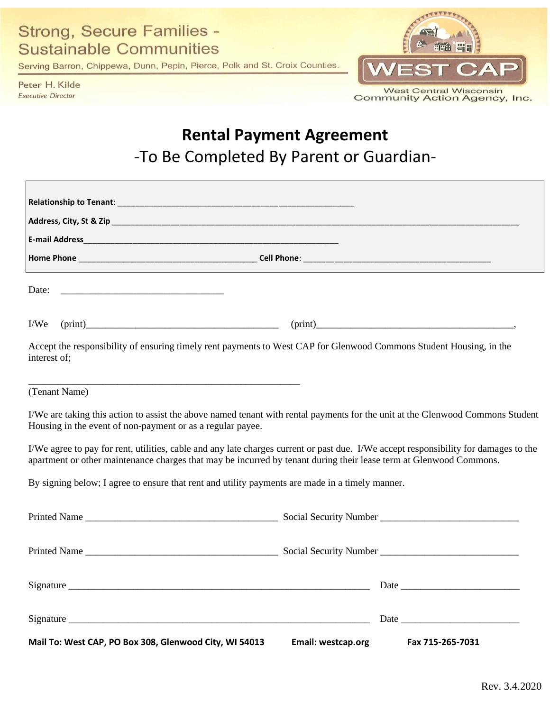## Strong, Secure Families -**Sustainable Communities**

Serving Barron, Chippewa, Dunn, Pepin, Pierce, Polk and St. Croix Counties.

Peter H. Kilde **Executive Director** 

Г



# **Rental Payment Agreement** -To Be Completed By Parent or Guardian-

| Date:                                                                                                                               |                                                                                                                                      |
|-------------------------------------------------------------------------------------------------------------------------------------|--------------------------------------------------------------------------------------------------------------------------------------|
| I/We                                                                                                                                | $(print)$ $(print)$                                                                                                                  |
| Accept the responsibility of ensuring timely rent payments to West CAP for Glenwood Commons Student Housing, in the<br>interest of: |                                                                                                                                      |
| (Tenant Name)                                                                                                                       |                                                                                                                                      |
| Housing in the event of non-payment or as a regular payee.                                                                          | I/We are taking this action to assist the above named tenant with rental payments for the unit at the Glenwood Commons Student       |
| apartment or other maintenance charges that may be incurred by tenant during their lease term at Glenwood Commons.                  | I/We agree to pay for rent, utilities, cable and any late charges current or past due. I/We accept responsibility for damages to the |
| By signing below; I agree to ensure that rent and utility payments are made in a timely manner.                                     |                                                                                                                                      |
|                                                                                                                                     |                                                                                                                                      |
|                                                                                                                                     |                                                                                                                                      |
|                                                                                                                                     |                                                                                                                                      |
|                                                                                                                                     |                                                                                                                                      |
| Mail To: West CAP, PO Box 308, Glenwood City, WI 54013                                                                              | Email: westcap.org<br>Fax 715-265-7031                                                                                               |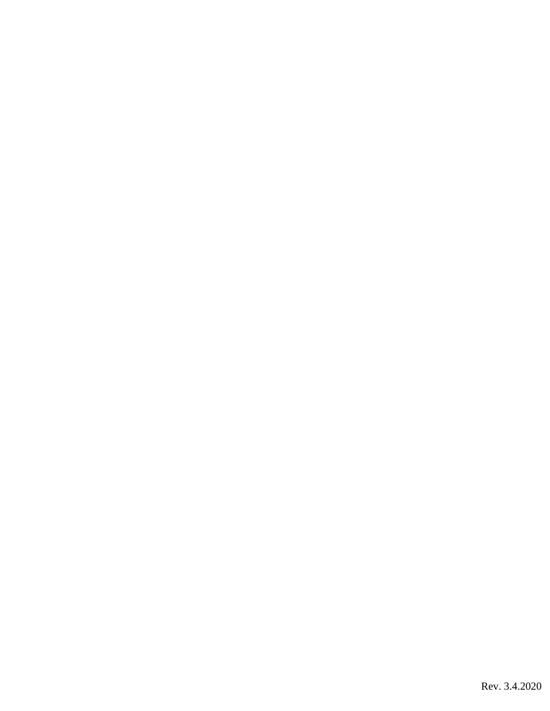Rev. 3.4.2020